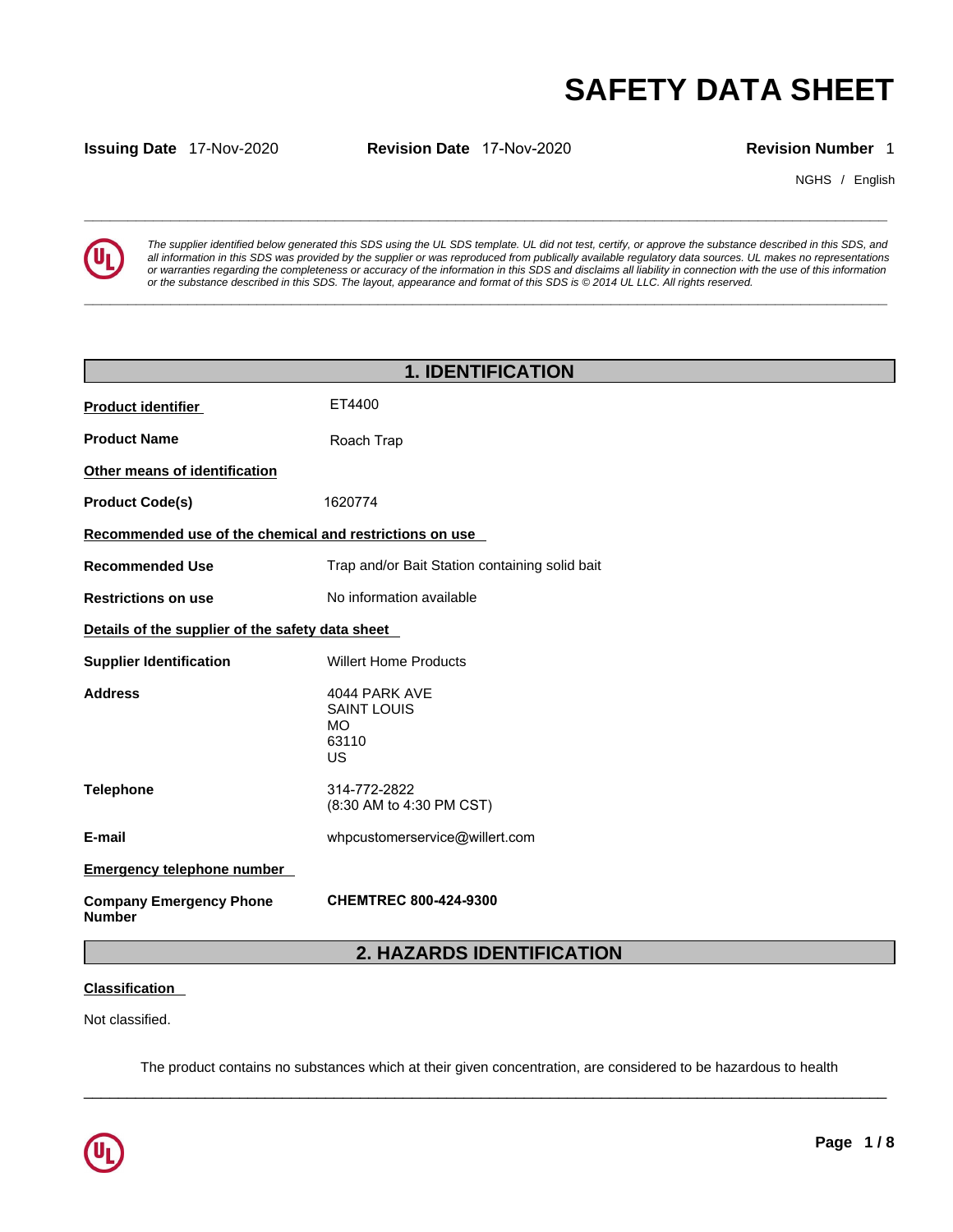

**SAFETY DATA SHEET**<br> **SECUTE:**<br> **Revision Number** 1<br> **Revision Number** 1<br> **EVERTY DATA SHEET**<br> **Revision Number** 1<br> **EVERTY DATA SHEET**<br> **Revision Number** 1<br> **EVERTY DATA SHEET**<br> **REVISION AND INTERNATION**<br> **REVISION NUMBE** *The supplier identified below generated this SDS using the UL SDS template. UL did not test, certify, or approve the substance described in this SDS, and all information in this SDS was provided by the supplier or was reproduced from publically available regulatory data sources. UL makes no representations or warranties regarding the completeness or accuracy of the information in this SDS and disclaims all liability in connection with the use of this information or the substance described in this SDS. The layout, appearance and format of this SDS is © 2014 UL LLC. All rights reserved.* 

|                                                         |                                                                                                                              |                           | <b>SAFETY DATA SHEET</b>                                                                                                                                                                                                                                                                                                                                                                                                                                                                 |
|---------------------------------------------------------|------------------------------------------------------------------------------------------------------------------------------|---------------------------|------------------------------------------------------------------------------------------------------------------------------------------------------------------------------------------------------------------------------------------------------------------------------------------------------------------------------------------------------------------------------------------------------------------------------------------------------------------------------------------|
| <b>Issuing Date 17-Nov-2020</b>                         | Revision Date 17-Nov-2020                                                                                                    |                           | <b>Revision Number 1</b>                                                                                                                                                                                                                                                                                                                                                                                                                                                                 |
|                                                         |                                                                                                                              |                           | NGHS / English                                                                                                                                                                                                                                                                                                                                                                                                                                                                           |
|                                                         | or the substance described in this SDS. The layout, appearance and format of this SDS is © 2014 UL LLC. All rights reserved. |                           | The supplier identified below generated this SDS using the UL SDS template. UL did not test, certify, or approve the substance described in this SDS, and<br>all information in this SDS was provided by the supplier or was reproduced from publically available regulatory data sources. UL makes no representations<br>or warranties regarding the completeness or accuracy of the information in this SDS and disclaims all liability in connection with the use of this information |
|                                                         |                                                                                                                              | <b>1. IDENTIFICATION</b>  |                                                                                                                                                                                                                                                                                                                                                                                                                                                                                          |
| <b>Product identifier</b>                               | ET4400                                                                                                                       |                           |                                                                                                                                                                                                                                                                                                                                                                                                                                                                                          |
| <b>Product Name</b>                                     | Roach Trap                                                                                                                   |                           |                                                                                                                                                                                                                                                                                                                                                                                                                                                                                          |
| Other means of identification                           |                                                                                                                              |                           |                                                                                                                                                                                                                                                                                                                                                                                                                                                                                          |
| <b>Product Code(s)</b>                                  | 1620774                                                                                                                      |                           |                                                                                                                                                                                                                                                                                                                                                                                                                                                                                          |
| Recommended use of the chemical and restrictions on use |                                                                                                                              |                           |                                                                                                                                                                                                                                                                                                                                                                                                                                                                                          |
| <b>Recommended Use</b>                                  | Trap and/or Bait Station containing solid bait                                                                               |                           |                                                                                                                                                                                                                                                                                                                                                                                                                                                                                          |
| <b>Restrictions on use</b>                              | No information available                                                                                                     |                           |                                                                                                                                                                                                                                                                                                                                                                                                                                                                                          |
| Details of the supplier of the safety data sheet        |                                                                                                                              |                           |                                                                                                                                                                                                                                                                                                                                                                                                                                                                                          |
| <b>Supplier Identification</b>                          | <b>Willert Home Products</b>                                                                                                 |                           |                                                                                                                                                                                                                                                                                                                                                                                                                                                                                          |
| <b>Address</b>                                          | 4044 PARK AVE<br><b>SAINT LOUIS</b><br><b>MO</b><br>63110<br><b>US</b>                                                       |                           |                                                                                                                                                                                                                                                                                                                                                                                                                                                                                          |
| <b>Telephone</b>                                        | 314-772-2822<br>(8:30 AM to 4:30 PM CST)                                                                                     |                           |                                                                                                                                                                                                                                                                                                                                                                                                                                                                                          |
| E-mail                                                  | whpcustomerservice@willert.com                                                                                               |                           |                                                                                                                                                                                                                                                                                                                                                                                                                                                                                          |
| <b>Emergency telephone number</b>                       |                                                                                                                              |                           |                                                                                                                                                                                                                                                                                                                                                                                                                                                                                          |
| <b>Company Emergency Phone</b><br><b>Number</b>         | <b>CHEMTREC 800-424-9300</b>                                                                                                 |                           |                                                                                                                                                                                                                                                                                                                                                                                                                                                                                          |
|                                                         |                                                                                                                              | 2. HAZARDS IDENTIFICATION |                                                                                                                                                                                                                                                                                                                                                                                                                                                                                          |
| <b>Classification</b>                                   |                                                                                                                              |                           |                                                                                                                                                                                                                                                                                                                                                                                                                                                                                          |
| Not classified.                                         |                                                                                                                              |                           |                                                                                                                                                                                                                                                                                                                                                                                                                                                                                          |

# **Classification**

 $\_$  ,  $\_$  ,  $\_$  ,  $\_$  ,  $\_$  ,  $\_$  ,  $\_$  ,  $\_$  ,  $\_$  ,  $\_$  ,  $\_$  ,  $\_$  ,  $\_$  ,  $\_$  ,  $\_$  ,  $\_$  ,  $\_$  ,  $\_$  ,  $\_$  ,  $\_$  ,  $\_$  ,  $\_$  ,  $\_$  ,  $\_$  ,  $\_$  ,  $\_$  ,  $\_$  ,  $\_$  ,  $\_$  ,  $\_$  ,  $\_$  ,  $\_$  ,  $\_$  ,  $\_$  ,  $\_$  ,  $\_$  ,  $\_$  , The product contains no substances which at their given concentration, are considered to be hazardous to health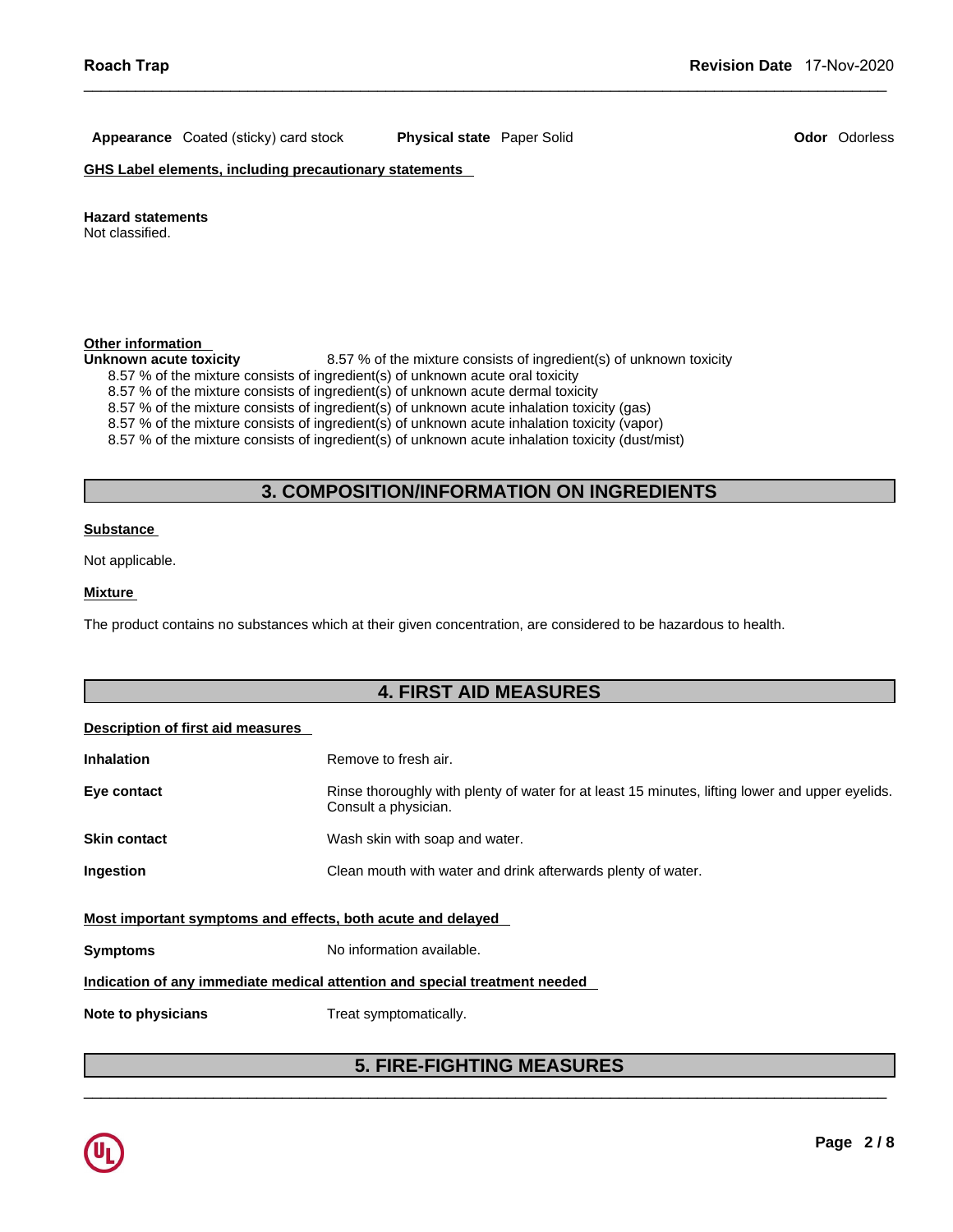**Appearance** Coated (sticky) card stock **Physical state** Paper Solid **Odor** Odorless

**GHS Label elements, including precautionary statements** 

**Hazard statements** 

Not classified.

# **Other information**

Unknown acute toxicity **8.57 %** of the mixture consists of ingredient(s) of unknown toxicity

- 8.57 % of the mixture consists of ingredient(s) of unknown acute oral toxicity
- 8.57 % of the mixture consists of ingredient(s) of unknown acute dermal toxicity

# 8.57 % of the mixture consists of ingredient(s) of unknown toxicity<br>nsists of ingredient(s) of unknown acute oral toxicity<br>nsists of ingredient(s) of unknown acute dermal toxicity<br>issits of ingredient(s) of unknown acute i

 $\_$  ,  $\_$  ,  $\_$  ,  $\_$  ,  $\_$  ,  $\_$  ,  $\_$  ,  $\_$  ,  $\_$  ,  $\_$  ,  $\_$  ,  $\_$  ,  $\_$  ,  $\_$  ,  $\_$  ,  $\_$  ,  $\_$  ,  $\_$  ,  $\_$  ,  $\_$  ,  $\_$  ,  $\_$  ,  $\_$  ,  $\_$  ,  $\_$  ,  $\_$  ,  $\_$  ,  $\_$  ,  $\_$  ,  $\_$  ,  $\_$  ,  $\_$  ,  $\_$  ,  $\_$  ,  $\_$  ,  $\_$  ,  $\_$  ,

### **Substance**

# **Mixture**

# **Description of first aid measures**

| <b>Inhalation</b><br>Eye contact | Remove to fresh air.<br>Rinse thoroughly with plenty of water for at least 15 minutes, lifting lower and upper eyelids. |
|----------------------------------|-------------------------------------------------------------------------------------------------------------------------|
|                                  | Consult a physician.                                                                                                    |
| <b>Skin contact</b>              | Wash skin with soap and water.                                                                                          |
| Ingestion                        | Clean mouth with water and drink afterwards plenty of water.                                                            |
|                                  | Most important symptoms and effects, both acute and delayed                                                             |
| <b>Symptoms</b>                  | No information available.                                                                                               |
|                                  | Indication of any immediate medical attention and special treatment needed                                              |
|                                  |                                                                                                                         |
| Note to physicians               | Treat symptomatically.                                                                                                  |
|                                  |                                                                                                                         |

# $\_$  ,  $\_$  ,  $\_$  ,  $\_$  ,  $\_$  ,  $\_$  ,  $\_$  ,  $\_$  ,  $\_$  ,  $\_$  ,  $\_$  ,  $\_$  ,  $\_$  ,  $\_$  ,  $\_$  ,  $\_$  ,  $\_$  ,  $\_$  ,  $\_$  ,  $\_$  ,  $\_$  ,  $\_$  ,  $\_$  ,  $\_$  ,  $\_$  ,  $\_$  ,  $\_$  ,  $\_$  ,  $\_$  ,  $\_$  ,  $\_$  ,  $\_$  ,  $\_$  ,  $\_$  ,  $\_$  ,  $\_$  ,  $\_$  ,

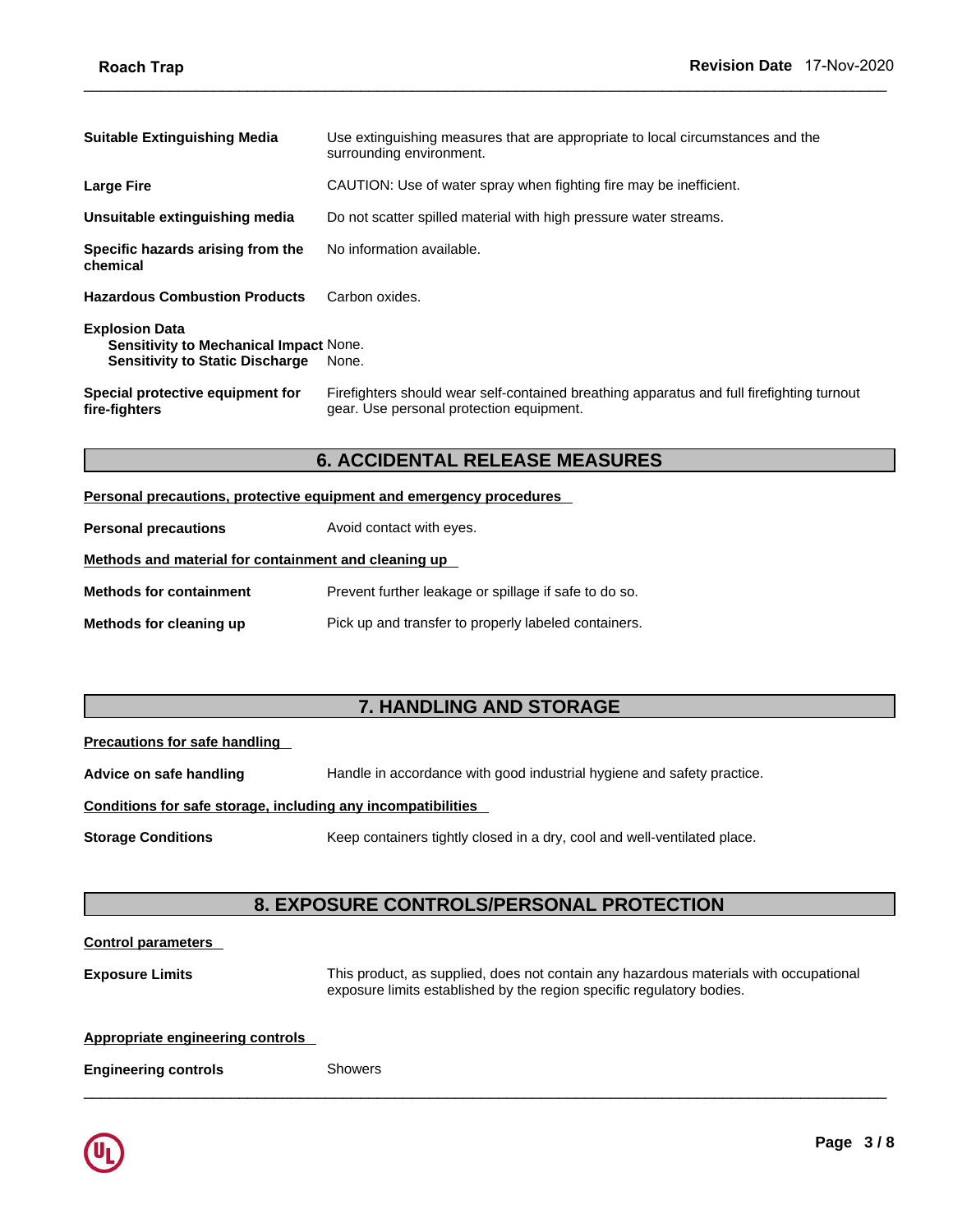| <b>Suitable Extinguishing Media</b>                                                                       | Use extinguishing measures that are appropriate to local circumstances and the<br>surrounding environment.                            |  |
|-----------------------------------------------------------------------------------------------------------|---------------------------------------------------------------------------------------------------------------------------------------|--|
| <b>Large Fire</b>                                                                                         | CAUTION: Use of water spray when fighting fire may be inefficient.                                                                    |  |
| Unsuitable extinguishing media                                                                            | Do not scatter spilled material with high pressure water streams.                                                                     |  |
| Specific hazards arising from the<br>chemical                                                             | No information available.                                                                                                             |  |
| <b>Hazardous Combustion Products</b>                                                                      | Carbon oxides.                                                                                                                        |  |
| <b>Explosion Data</b><br>Sensitivity to Mechanical Impact None.<br><b>Sensitivity to Static Discharge</b> | None.                                                                                                                                 |  |
| Special protective equipment for<br>fire-fighters                                                         | Firefighters should wear self-contained breathing apparatus and full firefighting turnout<br>gear. Use personal protection equipment. |  |
| <b>6. ACCIDENTAL RELEASE MEASURES</b>                                                                     |                                                                                                                                       |  |
|                                                                                                           | <b>Personal precautions, protective equipment and emergency procedures</b>                                                            |  |
| <b>Personal precautions</b>                                                                               | Avoid contact with eyes.                                                                                                              |  |

 $\_$  ,  $\_$  ,  $\_$  ,  $\_$  ,  $\_$  ,  $\_$  ,  $\_$  ,  $\_$  ,  $\_$  ,  $\_$  ,  $\_$  ,  $\_$  ,  $\_$  ,  $\_$  ,  $\_$  ,  $\_$  ,  $\_$  ,  $\_$  ,  $\_$  ,  $\_$  ,  $\_$  ,  $\_$  ,  $\_$  ,  $\_$  ,  $\_$  ,  $\_$  ,  $\_$  ,  $\_$  ,  $\_$  ,  $\_$  ,  $\_$  ,  $\_$  ,  $\_$  ,  $\_$  ,  $\_$  ,  $\_$  ,  $\_$  ,

|  | Personal precautions, protective equipment and emergency procedures |  |
|--|---------------------------------------------------------------------|--|
|  |                                                                     |  |

| mengners                                             | gcar. Osc poisonal protocion equipment.                                    |
|------------------------------------------------------|----------------------------------------------------------------------------|
|                                                      | <b>6. ACCIDENTAL RELEASE MEASURES</b>                                      |
|                                                      | <b>Personal precautions, protective equipment and emergency procedures</b> |
| <b>Personal precautions</b>                          | Avoid contact with eyes.                                                   |
| Methods and material for containment and cleaning up |                                                                            |
| <b>Methods for containment</b>                       | Prevent further leakage or spillage if safe to do so.                      |
| Methods for cleaning up                              | Pick up and transfer to properly labeled containers.                       |
|                                                      |                                                                            |
|                                                      |                                                                            |
|                                                      | <b>7. HANDLING AND STORAGE</b>                                             |
| <b>Precautions for safe handling</b>                 |                                                                            |
| Advice on safe handling                              | Handle in accordance with good industrial hygiene and safety practice.     |

| Precautions for safe handling |  |  |
|-------------------------------|--|--|
|                               |  |  |

| Methods for cleaning up                                      | Pick up and transfer to properly labeled containers.                                  |  |
|--------------------------------------------------------------|---------------------------------------------------------------------------------------|--|
|                                                              |                                                                                       |  |
|                                                              | 7. HANDLING AND STORAGE                                                               |  |
| <b>Precautions for safe handling</b>                         |                                                                                       |  |
| Advice on safe handling                                      | Handle in accordance with good industrial hygiene and safety practice.                |  |
| Conditions for safe storage, including any incompatibilities |                                                                                       |  |
| <b>Storage Conditions</b>                                    | Keep containers tightly closed in a dry, cool and well-ventilated place.              |  |
|                                                              |                                                                                       |  |
|                                                              | <b>8. EXPOSURE CONTROLS/PERSONAL PROTECTION</b>                                       |  |
| <b>Control parameters</b>                                    |                                                                                       |  |
| <b>Exposure Limits</b>                                       | This product, as supplied, does not contain any hazardous materials with occupational |  |

# **Conditions for safe storage, including any incompatibilities**

```
Storage Conditions Keep containers tightly closed in a dry, cool and well-ventilated place.
```
 $\_$  ,  $\_$  ,  $\_$  ,  $\_$  ,  $\_$  ,  $\_$  ,  $\_$  ,  $\_$  ,  $\_$  ,  $\_$  ,  $\_$  ,  $\_$  ,  $\_$  ,  $\_$  ,  $\_$  ,  $\_$  ,  $\_$  ,  $\_$  ,  $\_$  ,  $\_$  ,  $\_$  ,  $\_$  ,  $\_$  ,  $\_$  ,  $\_$  ,  $\_$  ,  $\_$  ,  $\_$  ,  $\_$  ,  $\_$  ,  $\_$  ,  $\_$  ,  $\_$  ,  $\_$  ,  $\_$  ,  $\_$  ,  $\_$  ,

# **Control parameters**

**Exposure Limits** This product, as supplied, does not contain any hazardous materials with occupational exposure limits established by the region specific regulatory bodies.

# **Appropriate engineering controls**

**Engineering controls** Showers

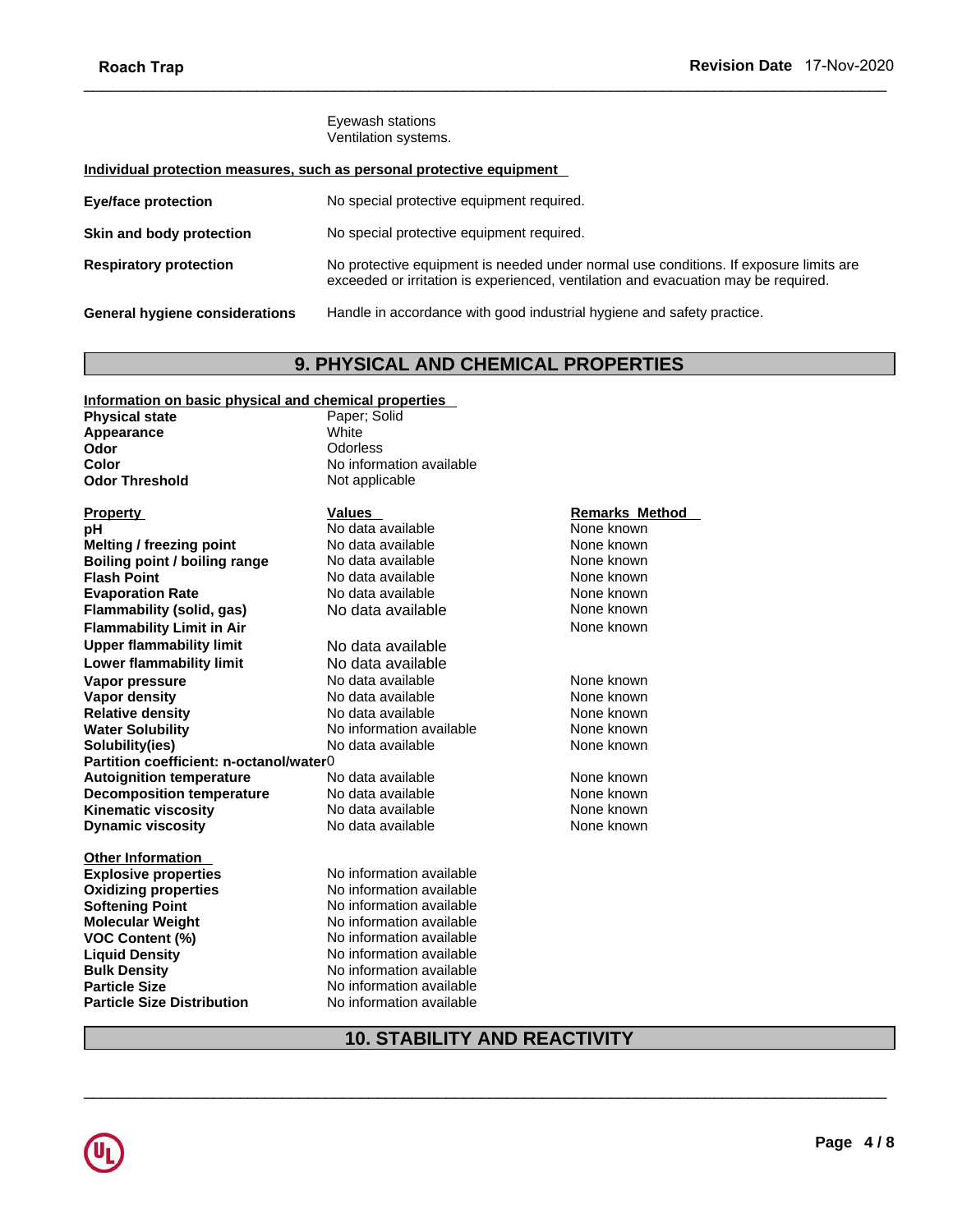# **Individual protection measures, such as personal protective equipment**

| INVUUTTIUP                                            |                                                                                                                                                                             |
|-------------------------------------------------------|-----------------------------------------------------------------------------------------------------------------------------------------------------------------------------|
|                                                       | Eyewash stations<br>Ventilation systems.                                                                                                                                    |
|                                                       | Individual protection measures, such as personal protective equipment                                                                                                       |
| <b>Eye/face protection</b>                            | No special protective equipment required.                                                                                                                                   |
| Skin and body protection                              | No special protective equipment required.                                                                                                                                   |
| <b>Respiratory protection</b>                         | No protective equipment is needed under normal use conditions. If exposure limits are<br>exceeded or irritation is experienced, ventilation and evacuation may be required. |
| <b>General hygiene considerations</b>                 | Handle in accordance with good industrial hygiene and safety practice.                                                                                                      |
|                                                       | <b>9. PHYSICAL AND CHEMICAL PROPERTIES</b>                                                                                                                                  |
| Information on basic physical and chemical properties |                                                                                                                                                                             |
| <b>Physical state</b>                                 | Paper; Solid                                                                                                                                                                |
| Appearance                                            | White                                                                                                                                                                       |

# **Information on basic physical and chemical properties**

| <b>Physical state</b>                   | Paper; Solid                        |                       |  |
|-----------------------------------------|-------------------------------------|-----------------------|--|
| Appearance                              | White                               |                       |  |
| Odor                                    | Odorless                            |                       |  |
| Color                                   | No information available            |                       |  |
| <b>Odor Threshold</b>                   | Not applicable                      |                       |  |
| <b>Property</b>                         | Values                              | <b>Remarks Method</b> |  |
| рH                                      | No data available                   | None known            |  |
| <b>Melting / freezing point</b>         | No data available                   | None known            |  |
| Boiling point / boiling range           | No data available                   | None known            |  |
| <b>Flash Point</b>                      | No data available                   | None known            |  |
| <b>Evaporation Rate</b>                 | No data available                   | None known            |  |
| Flammability (solid, gas)               | No data available                   | None known            |  |
| <b>Flammability Limit in Air</b>        |                                     | None known            |  |
| <b>Upper flammability limit</b>         | No data available                   |                       |  |
| <b>Lower flammability limit</b>         | No data available                   |                       |  |
| Vapor pressure                          | No data available                   | None known            |  |
| Vapor density                           | No data available                   | None known            |  |
| <b>Relative density</b>                 | No data available                   | None known            |  |
| <b>Water Solubility</b>                 | No information available            | None known            |  |
| Solubility(ies)                         | No data available                   | None known            |  |
| Partition coefficient: n-octanol/water0 |                                     |                       |  |
| <b>Autoignition temperature</b>         | No data available                   | None known            |  |
| <b>Decomposition temperature</b>        | No data available                   | None known            |  |
| <b>Kinematic viscosity</b>              | No data available                   | None known            |  |
| <b>Dynamic viscosity</b>                | No data available                   | None known            |  |
| <b>Other Information</b>                |                                     |                       |  |
| <b>Explosive properties</b>             | No information available            |                       |  |
| <b>Oxidizing properties</b>             | No information available            |                       |  |
| <b>Softening Point</b>                  | No information available            |                       |  |
| <b>Molecular Weight</b>                 | No information available            |                       |  |
| <b>VOC Content (%)</b>                  | No information available            |                       |  |
| <b>Liquid Density</b>                   | No information available            |                       |  |
| <b>Bulk Density</b>                     | No information available            |                       |  |
| <b>Particle Size</b>                    | No information available            |                       |  |
| Particle Size Distribution              | No information available            |                       |  |
|                                         | <b>10. STABILITY AND REACTIVITY</b> |                       |  |
|                                         |                                     |                       |  |
|                                         |                                     |                       |  |
|                                         |                                     |                       |  |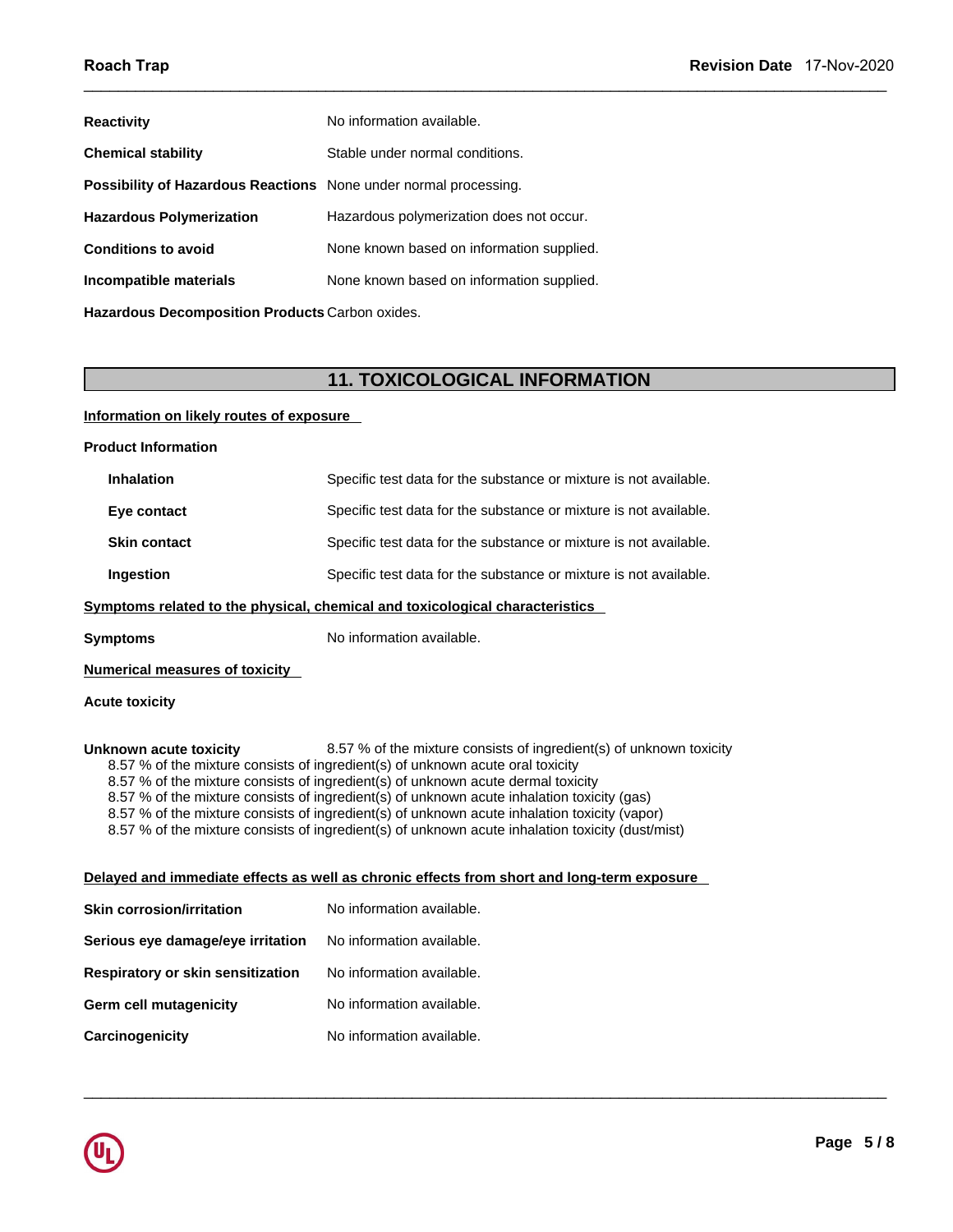| <b>Reactivity</b>                                                | No information available.                 |  |
|------------------------------------------------------------------|-------------------------------------------|--|
| <b>Chemical stability</b>                                        | Stable under normal conditions.           |  |
| Possibility of Hazardous Reactions None under normal processing. |                                           |  |
| <b>Hazardous Polymerization</b>                                  | Hazardous polymerization does not occur.  |  |
| <b>Conditions to avoid</b>                                       | None known based on information supplied. |  |
| Incompatible materials                                           | None known based on information supplied. |  |
| Hazardous Decomposition Products Carbon oxides.                  |                                           |  |
|                                                                  |                                           |  |
|                                                                  | <b>11. TOXICOLOGICAL INFORMATION</b>      |  |
| Information on likely routes of exposure                         |                                           |  |
| <b>Product Information</b>                                       |                                           |  |

 $\_$  ,  $\_$  ,  $\_$  ,  $\_$  ,  $\_$  ,  $\_$  ,  $\_$  ,  $\_$  ,  $\_$  ,  $\_$  ,  $\_$  ,  $\_$  ,  $\_$  ,  $\_$  ,  $\_$  ,  $\_$  ,  $\_$  ,  $\_$  ,  $\_$  ,  $\_$  ,  $\_$  ,  $\_$  ,  $\_$  ,  $\_$  ,  $\_$  ,  $\_$  ,  $\_$  ,  $\_$  ,  $\_$  ,  $\_$  ,  $\_$  ,  $\_$  ,  $\_$  ,  $\_$  ,  $\_$  ,  $\_$  ,  $\_$  ,

 $\_$  ,  $\_$  ,  $\_$  ,  $\_$  ,  $\_$  ,  $\_$  ,  $\_$  ,  $\_$  ,  $\_$  ,  $\_$  ,  $\_$  ,  $\_$  ,  $\_$  ,  $\_$  ,  $\_$  ,  $\_$  ,  $\_$  ,  $\_$  ,  $\_$  ,  $\_$  ,  $\_$  ,  $\_$  ,  $\_$  ,  $\_$  ,  $\_$  ,  $\_$  ,  $\_$  ,  $\_$  ,  $\_$  ,  $\_$  ,  $\_$  ,  $\_$  ,  $\_$  ,  $\_$  ,  $\_$  ,  $\_$  ,  $\_$  ,

# **Information on likely routes of exposure**

| <b>Product Information</b>                                                                                                                                                                                                                                                                                                                                                                                                                                                                                                                                            |                                                                                            |  |  |  |
|-----------------------------------------------------------------------------------------------------------------------------------------------------------------------------------------------------------------------------------------------------------------------------------------------------------------------------------------------------------------------------------------------------------------------------------------------------------------------------------------------------------------------------------------------------------------------|--------------------------------------------------------------------------------------------|--|--|--|
| <b>Inhalation</b>                                                                                                                                                                                                                                                                                                                                                                                                                                                                                                                                                     | Specific test data for the substance or mixture is not available.                          |  |  |  |
| Eye contact                                                                                                                                                                                                                                                                                                                                                                                                                                                                                                                                                           | Specific test data for the substance or mixture is not available.                          |  |  |  |
| <b>Skin contact</b>                                                                                                                                                                                                                                                                                                                                                                                                                                                                                                                                                   | Specific test data for the substance or mixture is not available.                          |  |  |  |
| Ingestion                                                                                                                                                                                                                                                                                                                                                                                                                                                                                                                                                             | Specific test data for the substance or mixture is not available.                          |  |  |  |
| Symptoms related to the physical, chemical and toxicological characteristics                                                                                                                                                                                                                                                                                                                                                                                                                                                                                          |                                                                                            |  |  |  |
| <b>Symptoms</b>                                                                                                                                                                                                                                                                                                                                                                                                                                                                                                                                                       | No information available.                                                                  |  |  |  |
| <b>Numerical measures of toxicity</b>                                                                                                                                                                                                                                                                                                                                                                                                                                                                                                                                 |                                                                                            |  |  |  |
| <b>Acute toxicity</b>                                                                                                                                                                                                                                                                                                                                                                                                                                                                                                                                                 |                                                                                            |  |  |  |
| Unknown acute toxicity<br>8.57 % of the mixture consists of ingredient(s) of unknown toxicity<br>8.57 % of the mixture consists of ingredient(s) of unknown acute oral toxicity<br>8.57 % of the mixture consists of ingredient(s) of unknown acute dermal toxicity<br>8.57 % of the mixture consists of ingredient(s) of unknown acute inhalation toxicity (gas)<br>8.57 % of the mixture consists of ingredient(s) of unknown acute inhalation toxicity (vapor)<br>8.57 % of the mixture consists of ingredient(s) of unknown acute inhalation toxicity (dust/mist) |                                                                                            |  |  |  |
|                                                                                                                                                                                                                                                                                                                                                                                                                                                                                                                                                                       | Delayed and immediate effects as well as chronic effects from short and long-term exposure |  |  |  |
| <b>Skin corrosion/irritation</b>                                                                                                                                                                                                                                                                                                                                                                                                                                                                                                                                      | No information available.                                                                  |  |  |  |
| Serious eye damage/eye irritation                                                                                                                                                                                                                                                                                                                                                                                                                                                                                                                                     | No information available.                                                                  |  |  |  |
| Respiratory or skin sensitization                                                                                                                                                                                                                                                                                                                                                                                                                                                                                                                                     | No information available.                                                                  |  |  |  |
| Germ cell mutagenicity                                                                                                                                                                                                                                                                                                                                                                                                                                                                                                                                                | No information available.                                                                  |  |  |  |
| Carcinogenicity                                                                                                                                                                                                                                                                                                                                                                                                                                                                                                                                                       | No information available.                                                                  |  |  |  |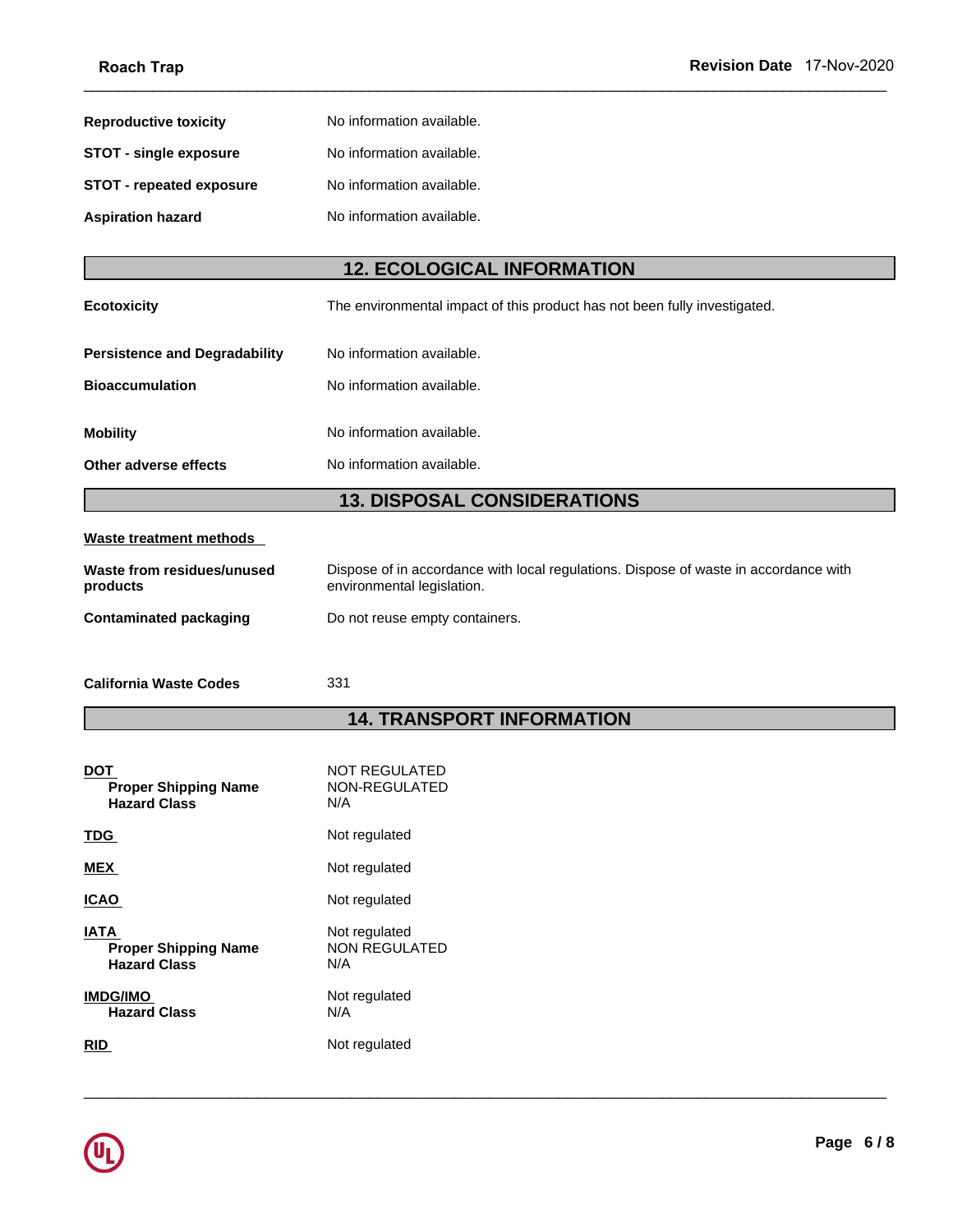| No information available.         |                                                                                                        |
|-----------------------------------|--------------------------------------------------------------------------------------------------------|
| No information available.         |                                                                                                        |
| No information available.         |                                                                                                        |
| No information available.         |                                                                                                        |
| <b>12. ECOLOGICAL INFORMATION</b> |                                                                                                        |
|                                   |                                                                                                        |
|                                   | Revision Date 17-Nov-2020<br>The environmental impact of this product has not been fully investigated. |

 $\_$  ,  $\_$  ,  $\_$  ,  $\_$  ,  $\_$  ,  $\_$  ,  $\_$  ,  $\_$  ,  $\_$  ,  $\_$  ,  $\_$  ,  $\_$  ,  $\_$  ,  $\_$  ,  $\_$  ,  $\_$  ,  $\_$  ,  $\_$  ,  $\_$  ,  $\_$  ,  $\_$  ,  $\_$  ,  $\_$  ,  $\_$  ,  $\_$  ,  $\_$  ,  $\_$  ,  $\_$  ,  $\_$  ,  $\_$  ,  $\_$  ,  $\_$  ,  $\_$  ,  $\_$  ,  $\_$  ,  $\_$  ,  $\_$  ,

| <b>Aspiration hazard</b>             | No information available.                                                            |
|--------------------------------------|--------------------------------------------------------------------------------------|
|                                      |                                                                                      |
|                                      | <b>12. ECOLOGICAL INFORMATION</b>                                                    |
| <b>Ecotoxicity</b>                   | The environmental impact of this product has not been fully investigated.            |
| <b>Persistence and Degradability</b> | No information available.                                                            |
| <b>Bioaccumulation</b>               | No information available.                                                            |
| <b>Mobility</b>                      | No information available.                                                            |
| Other adverse effects                | No information available.                                                            |
|                                      | <b>13. DISPOSAL CONSIDERATIONS</b>                                                   |
| Waste treatment methods              |                                                                                      |
| Waste from residues/unused           | Dispose of in accordance with local regulations. Dispose of waste in accordance with |

# **Waste treatment methods**

| <b>Mobility</b>                           | No information available.                                                                                          |  |  |  |
|-------------------------------------------|--------------------------------------------------------------------------------------------------------------------|--|--|--|
| Other adverse effects                     | No information available.                                                                                          |  |  |  |
|                                           | <b>13. DISPOSAL CONSIDERATIONS</b>                                                                                 |  |  |  |
| <b>Waste treatment methods</b>            |                                                                                                                    |  |  |  |
| Waste from residues/unused<br>products    | Dispose of in accordance with local regulations. Dispose of waste in accordance with<br>environmental legislation. |  |  |  |
| <b>Contaminated packaging</b>             | Do not reuse empty containers.                                                                                     |  |  |  |
| <b>California Waste Codes</b>             | 331                                                                                                                |  |  |  |
| <b>14. TRANSPORT INFORMATION</b>          |                                                                                                                    |  |  |  |
|                                           |                                                                                                                    |  |  |  |
| <b>DOT</b><br><b>Proper Shipping Name</b> | NOT REGULATED<br>NON-REGULATED                                                                                     |  |  |  |

| Contaminated packaging | Do not reuse empty containers. |
|------------------------|--------------------------------|
|------------------------|--------------------------------|

 $\_$  ,  $\_$  ,  $\_$  ,  $\_$  ,  $\_$  ,  $\_$  ,  $\_$  ,  $\_$  ,  $\_$  ,  $\_$  ,  $\_$  ,  $\_$  ,  $\_$  ,  $\_$  ,  $\_$  ,  $\_$  ,  $\_$  ,  $\_$  ,  $\_$  ,  $\_$  ,  $\_$  ,  $\_$  ,  $\_$  ,  $\_$  ,  $\_$  ,  $\_$  ,  $\_$  ,  $\_$  ,  $\_$  ,  $\_$  ,  $\_$  ,  $\_$  ,  $\_$  ,  $\_$  ,  $\_$  ,  $\_$  ,  $\_$  ,

| <b>DOT</b><br><b>Proper Shipping Name</b><br><b>Hazard Class</b>  | <b>NOT REGULATED</b><br>NON-REGULATED<br>N/A |
|-------------------------------------------------------------------|----------------------------------------------|
| TDG.                                                              | Not regulated                                |
| <b>MEX</b>                                                        | Not regulated                                |
| <b>ICAO</b>                                                       | Not regulated                                |
| <b>IATA</b><br><b>Proper Shipping Name</b><br><b>Hazard Class</b> | Not regulated<br><b>NON REGULATED</b><br>N/A |
| <b>IMDG/IMO</b><br><b>Hazard Class</b>                            | Not regulated<br>N/A                         |
| RID                                                               | Not regulated                                |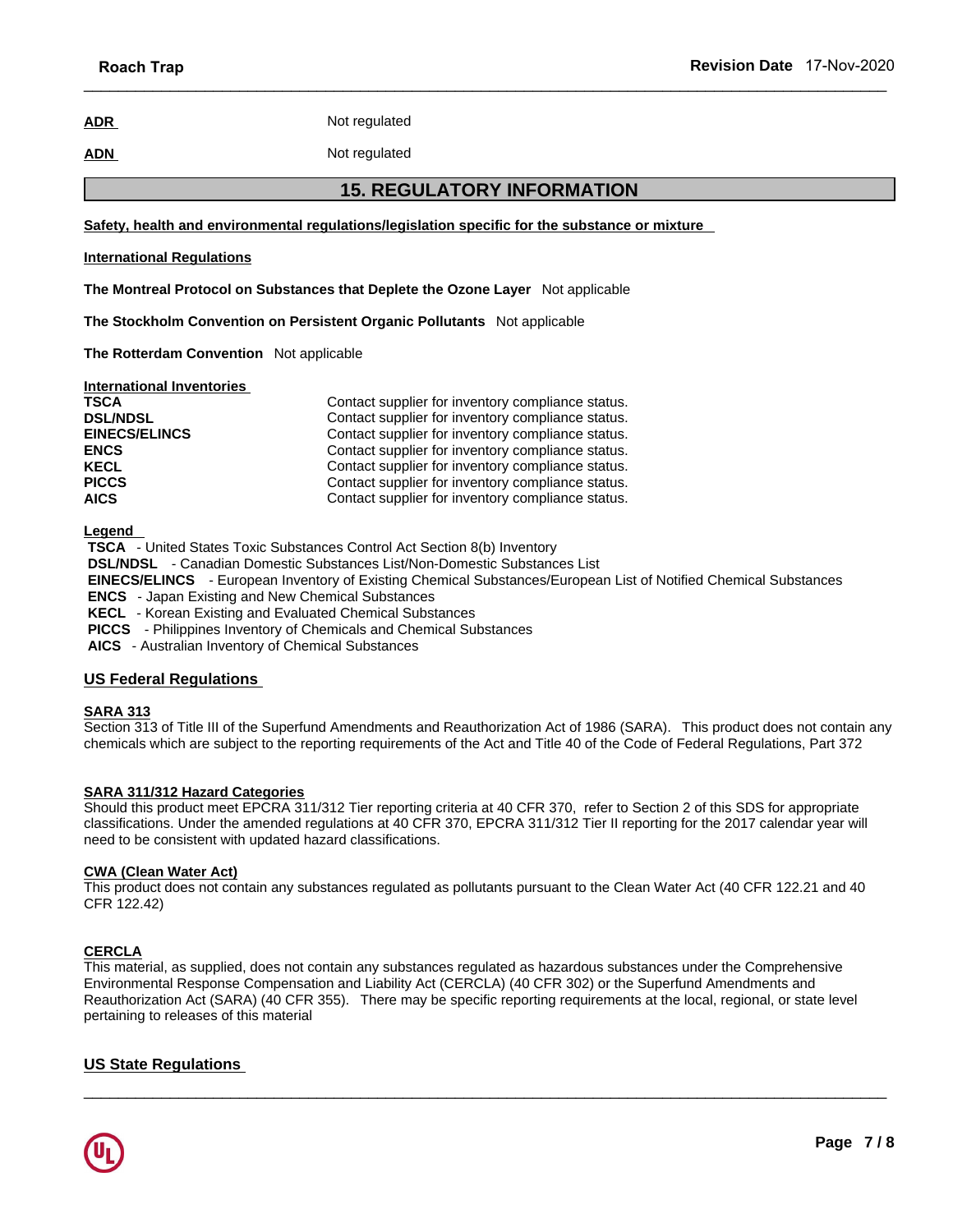# **ADR** Not regulated

# **ADN** Not regulated

 $\_$  ,  $\_$  ,  $\_$  ,  $\_$  ,  $\_$  ,  $\_$  ,  $\_$  ,  $\_$  ,  $\_$  ,  $\_$  ,  $\_$  ,  $\_$  ,  $\_$  ,  $\_$  ,  $\_$  ,  $\_$  ,  $\_$  ,  $\_$  ,  $\_$  ,  $\_$  ,  $\_$  ,  $\_$  ,  $\_$  ,  $\_$  ,  $\_$  ,  $\_$  ,  $\_$  ,  $\_$  ,  $\_$  ,  $\_$  ,  $\_$  ,  $\_$  ,  $\_$  ,  $\_$  ,  $\_$  ,  $\_$  ,  $\_$  ,

# **17-Nov-2020**<br>
2010<br>
2020<br>
2011 The Substance of mixture<br>
2015. REGULATORY INFORMATION<br>
2016<br>
2017 The Substance or mixture **Safety, health and environmental regulations/legislation specific for the substance or mixture**

## **International Regulations**

**The Montreal Protocol on Substances that Deplete the Ozone Layer** Not applicable

**The Stockholm Convention on Persistent Organic Pollutants** Not applicable

**The Rotterdam Convention** Not applicable

| <b>International Inventories</b> |                                                   |
|----------------------------------|---------------------------------------------------|
| <b>TSCA</b>                      | Contact supplier for inventory compliance status. |
| <b>DSL/NDSL</b>                  | Contact supplier for inventory compliance status. |
| <b>EINECS/ELINCS</b>             | Contact supplier for inventory compliance status. |
| <b>ENCS</b>                      | Contact supplier for inventory compliance status. |
| <b>KECL</b>                      | Contact supplier for inventory compliance status. |
| <b>PICCS</b>                     | Contact supplier for inventory compliance status. |
| <b>AICS</b>                      | Contact supplier for inventory compliance status. |

**Legend** 

 **TSCA** - United States Toxic Substances Control Act Section 8(b) Inventory  **DSL/NDSL** - Canadian Domestic Substances List/Non-Domestic Substances List  **EINECS/ELINCS** - European Inventory of Existing Chemical Substances/European List of Notified Chemical Substances  **ENCS** - Japan Existing and New Chemical Substances  **KECL** - Korean Existing and Evaluated Chemical Substances  **PICCS** - Philippines Inventory of Chemicals and Chemical Substances

 **AICS** - Australian Inventory of Chemical Substances

# **US Federal Regulations**

# **SARA 313**

Section 313 of Title III of the Superfund Amendments and Reauthorization Act of 1986 (SARA). This product does not contain any chemicals which are subject to the reporting requirements of the Act and Title 40 of the Code of Federal Regulations, Part 372

# **SARA 311/312 Hazard Categories**

Should this product meet EPCRA 311/312 Tier reporting criteria at 40 CFR 370, refer to Section 2 of this SDS for appropriate classifications. Under the amended regulations at 40 CFR 370, EPCRA 311/312 Tier II reporting for the 2017 calendar year will need to be consistent with updated hazard classifications.

# **CWA (Clean Water Act)**

This product does not contain any substances regulated as pollutants pursuant to the Clean Water Act (40 CFR 122.21 and 40 CFR 122.42)

# **CERCLA**

This material, as supplied, does not contain any substances regulated as hazardous substances under the Comprehensive Environmental Response Compensation and Liability Act (CERCLA) (40 CFR 302) or the Superfund Amendments and Reauthorization Act (SARA) (40 CFR 355). There may be specific reporting requirements at the local, regional, or state level pertaining to releases of this material

 $\_$  ,  $\_$  ,  $\_$  ,  $\_$  ,  $\_$  ,  $\_$  ,  $\_$  ,  $\_$  ,  $\_$  ,  $\_$  ,  $\_$  ,  $\_$  ,  $\_$  ,  $\_$  ,  $\_$  ,  $\_$  ,  $\_$  ,  $\_$  ,  $\_$  ,  $\_$  ,  $\_$  ,  $\_$  ,  $\_$  ,  $\_$  ,  $\_$  ,  $\_$  ,  $\_$  ,  $\_$  ,  $\_$  ,  $\_$  ,  $\_$  ,  $\_$  ,  $\_$  ,  $\_$  ,  $\_$  ,  $\_$  ,  $\_$  ,

# **US State Regulations**